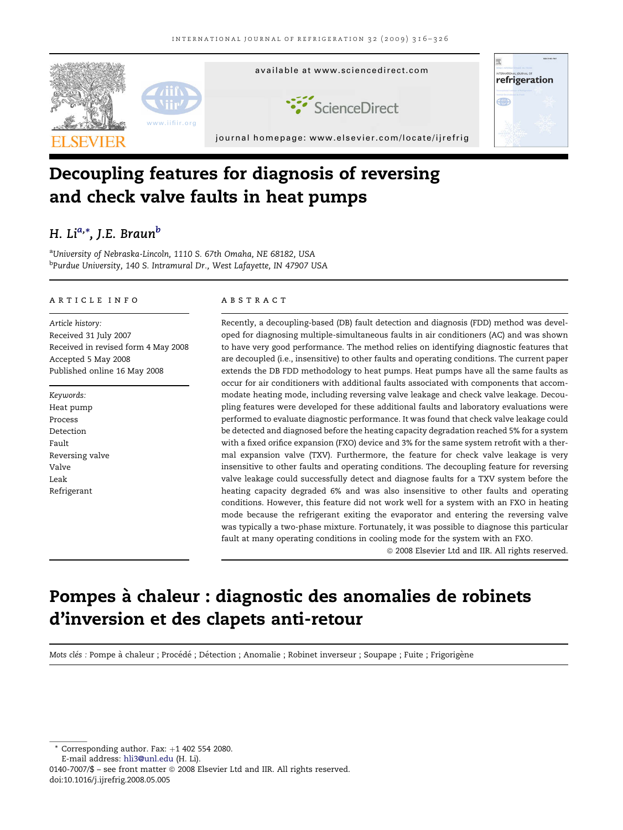

# Decoupling features for diagnosis of reversing and check valve faults in heat pumps

# H. Li<sup>a,</sup>\*, J.E. Braun<sup>b</sup>

<sup>a</sup>University of Nebraska-Lincoln, 1110 S. 67th Omaha, NE 68182, USA <sup>b</sup>Purdue University, 140 S. Intramural Dr., West Lafayette, IN 47907 USA

#### article info

Article history: Received 31 July 2007 Received in revised form 4 May 2008 Accepted 5 May 2008 Published online 16 May 2008

Keywords: Heat pump Process Detection Fault Reversing valve Valve Leak Refrigerant

#### **ABSTRACT**

Recently, a decoupling-based (DB) fault detection and diagnosis (FDD) method was developed for diagnosing multiple-simultaneous faults in air conditioners (AC) and was shown to have very good performance. The method relies on identifying diagnostic features that are decoupled (i.e., insensitive) to other faults and operating conditions. The current paper extends the DB FDD methodology to heat pumps. Heat pumps have all the same faults as occur for air conditioners with additional faults associated with components that accommodate heating mode, including reversing valve leakage and check valve leakage. Decoupling features were developed for these additional faults and laboratory evaluations were performed to evaluate diagnostic performance. It was found that check valve leakage could be detected and diagnosed before the heating capacity degradation reached 5% for a system with a fixed orifice expansion (FXO) device and 3% for the same system retrofit with a thermal expansion valve (TXV). Furthermore, the feature for check valve leakage is very insensitive to other faults and operating conditions. The decoupling feature for reversing valve leakage could successfully detect and diagnose faults for a TXV system before the heating capacity degraded 6% and was also insensitive to other faults and operating conditions. However, this feature did not work well for a system with an FXO in heating mode because the refrigerant exiting the evaporator and entering the reversing valve was typically a two-phase mixture. Fortunately, it was possible to diagnose this particular fault at many operating conditions in cooling mode for the system with an FXO.

 $@$  2008 Elsevier Ltd and IIR. All rights reserved.

# Pompes à chaleur : diagnostic des anomalies de robinets d'inversion et des clapets anti-retour

Mots clés : Pompe à chaleur ; Procédé ; Détection ; Anomalie ; Robinet inverseur ; Soupape ; Fuite ; Frigorigène

Corresponding author. Fax:  $+1$  402 554 2080.

E-mail address: [hli3@unl.edu](mailto:hli3@unl.edu) (H. Li).

<sup>0140-7007/\$ –</sup> see front matter  $\odot$  2008 Elsevier Ltd and IIR. All rights reserved. doi:10.1016/j.ijrefrig.2008.05.005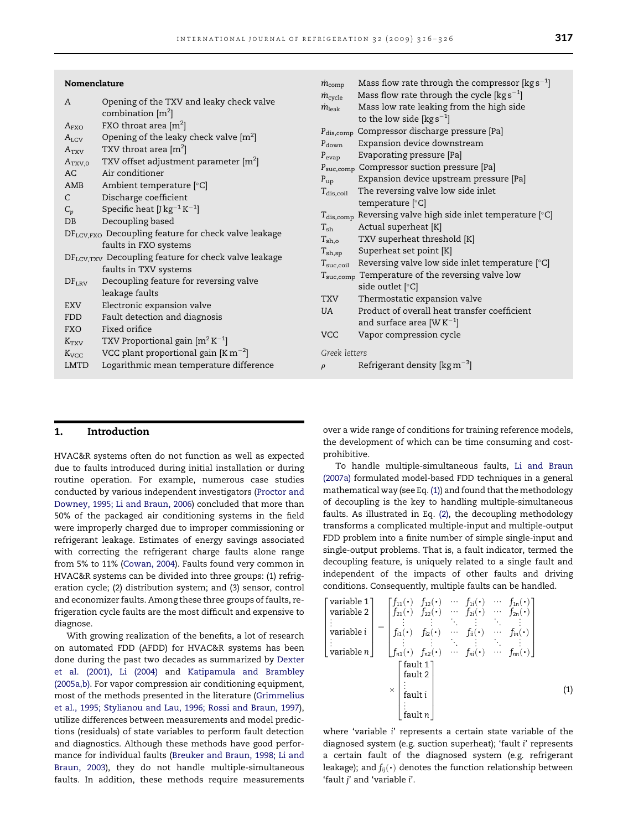#### Nomenclature

| $\overline{A}$           | Opening of the TXV and leaky check valve                         | $m_{\text{cycle}}$   | Mass flow rate through the cycle $\lceil \log s^{-1} \rceil$       |
|--------------------------|------------------------------------------------------------------|----------------------|--------------------------------------------------------------------|
|                          | combination $\lceil m^2 \rceil$                                  | $\dot{m}_{\rm leak}$ | Mass low rate leaking from the high side                           |
| $A_{FXO}$                | FXO throat area $\lceil m^2 \rceil$                              |                      | to the low side $[kgs^{-1}]$                                       |
|                          | Opening of the leaky check valve $[m^2]$                         | $P_{dis, comp}$      | Compressor discharge pressure [Pa]                                 |
| $A_{\text{LCV}}$         | TXV throat area $\lceil m^2 \rceil$                              | $P_{\rm down}$       | Expansion device downstream                                        |
| $A_{\text{TXV}}$         | TXV offset adjustment parameter $[m^2]$                          | $P_{\text{evap}}$    | Evaporating pressure [Pa]                                          |
| $A_{\text{TXV},0}$<br>AC | Air conditioner                                                  |                      | P <sub>suc,comp</sub> Compressor suction pressure [Pa]             |
| AMB                      | Ambient temperature [°C]                                         | $P_{\rm up}$         | Expansion device upstream pressure [Pa]                            |
| C                        | Discharge coefficient                                            | $T_{dis, coil}$      | The reversing valve low side inlet                                 |
| $C_p$                    | Specific heat $[J kg^{-1} K^{-1}]$                               |                      | temperature $[°C]$                                                 |
| $DB$                     | Decoupling based                                                 |                      | $T_{dis, comp}$ Reversing valve high side inlet temperature $[°C]$ |
|                          | DFLCV, FXO Decoupling feature for check valve leakage            | $T_{\rm sh}$         | Actual superheat [K]                                               |
|                          | faults in FXO systems                                            | $T_{\mathrm{sh,o}}$  | TXV superheat threshold [K]                                        |
|                          | DF <sub>LCV,TXV</sub> Decoupling feature for check valve leakage | $T_{\mathrm{sh,sp}}$ | Superheat set point [K]                                            |
|                          | faults in TXV systems                                            | $T_{\rm suc, coil}$  | Reversing valve low side inlet temperature $[°C]$                  |
| $DF_{LRV}$               | Decoupling feature for reversing valve                           | $T_{\rm suc,comp}$   | Temperature of the reversing valve low                             |
|                          | leakage faults                                                   |                      | side outlet $[°C]$                                                 |
| <b>EXV</b>               | Electronic expansion valve                                       | <b>TXV</b>           | Thermostatic expansion valve                                       |
| <b>FDD</b>               | Fault detection and diagnosis                                    | <b>UA</b>            | Product of overall heat transfer coefficient                       |
| <b>FXO</b>               | Fixed orifice                                                    |                      | and surface area $[WK^{-1}]$                                       |
| $K_{\rm{TXV}}$           | TXV Proportional gain $[m^2K^{-1}]$                              | <b>VCC</b>           | Vapor compression cycle                                            |
| $K_{\text{VCC}}$         | VCC plant proportional gain $[K \, m^{-2}]$                      | Greek letters        |                                                                    |
| <b>LMTD</b>              | Logarithmic mean temperature difference                          | $\rho$               | Refrigerant density [ $\text{kg m}^{-3}$ ]                         |
|                          |                                                                  |                      |                                                                    |

#### 1. Introduction

HVAC&R systems often do not function as well as expected due to faults introduced during initial installation or during routine operation. For example, numerous case studies conducted by various independent investigators ([Proctor and](#page-10-0) [Downey, 1995; Li and Braun, 2006](#page-10-0)) concluded that more than 50% of the packaged air conditioning systems in the field were improperly charged due to improper commissioning or refrigerant leakage. Estimates of energy savings associated with correcting the refrigerant charge faults alone range from 5% to 11% ([Cowan, 2004](#page-10-0)). Faults found very common in HVAC&R systems can be divided into three groups: (1) refrigeration cycle; (2) distribution system; and (3) sensor, control and economizer faults. Among these three groups of faults, refrigeration cycle faults are the most difficult and expensive to diagnose.

With growing realization of the benefits, a lot of research on automated FDD (AFDD) for HVAC&R systems has been done during the past two decades as summarized by [Dexter](#page-10-0) [et al. \(2001\), Li \(2004\)](#page-10-0) and [Katipamula and Brambley](#page-10-0) [\(2005a,b\).](#page-10-0) For vapor compression air conditioning equipment, most of the methods presented in the literature ([Grimmelius](#page-10-0) [et al., 1995; Stylianou and Lau, 1996; Rossi and Braun, 1997](#page-10-0)), utilize differences between measurements and model predictions (residuals) of state variables to perform fault detection and diagnostics. Although these methods have good performance for individual faults ([Breuker and Braun, 1998; Li and](#page-10-0) [Braun, 2003\)](#page-10-0), they do not handle multiple-simultaneous faults. In addition, these methods require measurements

over a wide range of conditions for training reference models, the development of which can be time consuming and costprohibitive.

 $\dot{m}_\text{comp}$  Mass flow rate through the compressor [kg s $^{-1}]$ 

To handle multiple-simultaneous faults, [Li and Braun](#page-10-0) [\(2007a\)](#page-10-0) formulated model-based FDD techniques in a general mathematical way (see Eq. (1)) and found that the methodology of decoupling is the key to handling multiple-simultaneous faults. As illustrated in Eq. (2), the decoupling methodology transforms a complicated multiple-input and multiple-output FDD problem into a finite number of simple single-input and single-output problems. That is, a fault indicator, termed the decoupling feature, is uniquely related to a single fault and independent of the impacts of other faults and driving conditions. Consequently, multiple faults can be handled.

$$
\begin{bmatrix}\n\text{variable 1} \\
\text{variable 2} \\
\vdots \\
\text{variable i} \\
\text{variable i} \\
\vdots \\
\text{variable n}\n\end{bmatrix} = \n\begin{bmatrix}\nf_{11}(\cdot) & f_{12}(\cdot) & \cdots & f_{1i}(\cdot) & \cdots & f_{1n}(\cdot) \\
f_{21}(\cdot) & f_{22}(\cdot) & \cdots & f_{2i}(\cdot) & \cdots & f_{2n}(\cdot) \\
\vdots & \vdots & \ddots & \vdots & \ddots & \vdots \\
f_{n1}(\cdot) & f_{n2}(\cdot) & \cdots & f_{n}(\cdot) & \cdots & f_{n}(\cdot) \\
\vdots & \vdots & \ddots & \vdots & \ddots & \vdots \\
f_{n1}(\cdot) & f_{n2}(\cdot) & \cdots & f_{n}(\cdot) & \cdots & f_{nn}(\cdot)\n\end{bmatrix}
$$
\n
$$
\times \n\begin{bmatrix}\n\text{fault 1} \\
\text{fault 2} \\
\vdots \\
\text{fault } n\n\end{bmatrix}
$$
\n(1)

where 'variable i' represents a certain state variable of the diagnosed system (e.g. suction superheat); 'fault i' represents a certain fault of the diagnosed system (e.g. refrigerant leakage); and  $f_{ii}(\cdot)$  denotes the function relationship between 'fault j' and 'variable i'.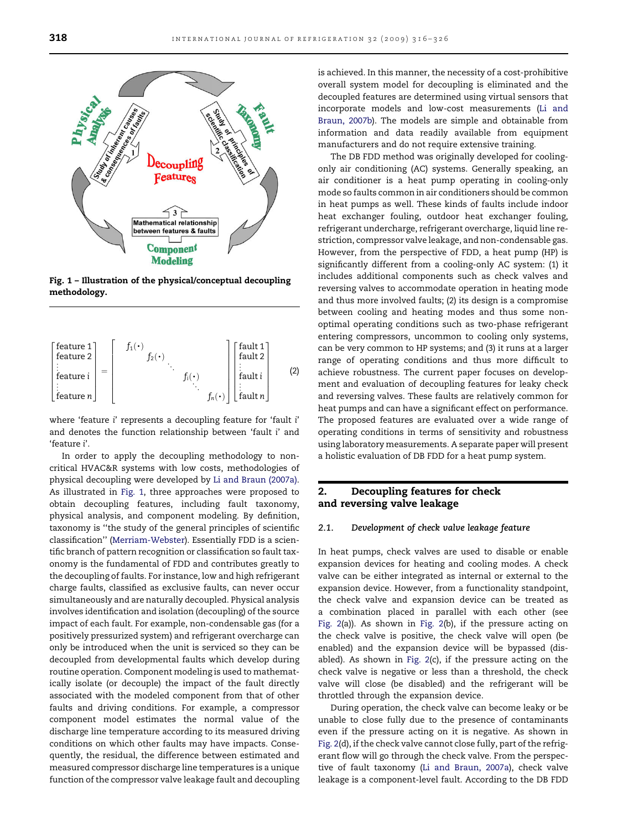$\rm \nu_{\rm coupling}$ Features  $\widetilde{\neg}$  3 Mathematical relationship between features & faults Component **Modeling** 

Fig. 1 – Illustration of the physical/conceptual decoupling methodology.



where 'feature i' represents a decoupling feature for 'fault i' and denotes the function relationship between 'fault i' and 'feature i'.

In order to apply the decoupling methodology to noncritical HVAC&R systems with low costs, methodologies of physical decoupling were developed by [Li and Braun \(2007a\)](#page-10-0). As illustrated in Fig. 1, three approaches were proposed to obtain decoupling features, including fault taxonomy, physical analysis, and component modeling. By definition, taxonomy is ''the study of the general principles of scientific classification'' [\(Merriam-Webster\)](#page-10-0). Essentially FDD is a scientific branch of pattern recognition or classification so fault taxonomy is the fundamental of FDD and contributes greatly to the decoupling of faults. For instance, low and high refrigerant charge faults, classified as exclusive faults, can never occur simultaneously and are naturally decoupled. Physical analysis involves identification and isolation (decoupling) of the source impact of each fault. For example, non-condensable gas (for a positively pressurized system) and refrigerant overcharge can only be introduced when the unit is serviced so they can be decoupled from developmental faults which develop during routine operation. Component modeling is used to mathematically isolate (or decouple) the impact of the fault directly associated with the modeled component from that of other faults and driving conditions. For example, a compressor component model estimates the normal value of the discharge line temperature according to its measured driving conditions on which other faults may have impacts. Consequently, the residual, the difference between estimated and measured compressor discharge line temperatures is a unique function of the compressor valve leakage fault and decoupling is achieved. In this manner, the necessity of a cost-prohibitive overall system model for decoupling is eliminated and the decoupled features are determined using virtual sensors that incorporate models and low-cost measurements ([Li and](#page-10-0) [Braun, 2007b\)](#page-10-0). The models are simple and obtainable from information and data readily available from equipment manufacturers and do not require extensive training.

The DB FDD method was originally developed for coolingonly air conditioning (AC) systems. Generally speaking, an air conditioner is a heat pump operating in cooling-only mode so faults common in air conditioners should be common in heat pumps as well. These kinds of faults include indoor heat exchanger fouling, outdoor heat exchanger fouling, refrigerant undercharge, refrigerant overcharge, liquid line restriction, compressor valve leakage, and non-condensable gas. However, from the perspective of FDD, a heat pump (HP) is significantly different from a cooling-only AC system: (1) it includes additional components such as check valves and reversing valves to accommodate operation in heating mode and thus more involved faults; (2) its design is a compromise between cooling and heating modes and thus some nonoptimal operating conditions such as two-phase refrigerant entering compressors, uncommon to cooling only systems, can be very common to HP systems; and (3) it runs at a larger range of operating conditions and thus more difficult to achieve robustness. The current paper focuses on development and evaluation of decoupling features for leaky check and reversing valves. These faults are relatively common for heat pumps and can have a significant effect on performance. The proposed features are evaluated over a wide range of operating conditions in terms of sensitivity and robustness using laboratory measurements. A separate paper will present a holistic evaluation of DB FDD for a heat pump system.

## 2. Decoupling features for check and reversing valve leakage

### 2.1. Development of check valve leakage feature

In heat pumps, check valves are used to disable or enable expansion devices for heating and cooling modes. A check valve can be either integrated as internal or external to the expansion device. However, from a functionality standpoint, the check valve and expansion device can be treated as a combination placed in parallel with each other (see [Fig. 2](#page-3-0)(a)). As shown in [Fig. 2](#page-3-0)(b), if the pressure acting on the check valve is positive, the check valve will open (be enabled) and the expansion device will be bypassed (disabled). As shown in [Fig. 2\(](#page-3-0)c), if the pressure acting on the check valve is negative or less than a threshold, the check valve will close (be disabled) and the refrigerant will be throttled through the expansion device.

During operation, the check valve can become leaky or be unable to close fully due to the presence of contaminants even if the pressure acting on it is negative. As shown in [Fig. 2\(](#page-3-0)d), if the check valve cannot close fully, part of the refrigerant flow will go through the check valve. From the perspective of fault taxonomy [\(Li and Braun, 2007a\)](#page-10-0), check valve leakage is a component-level fault. According to the DB FDD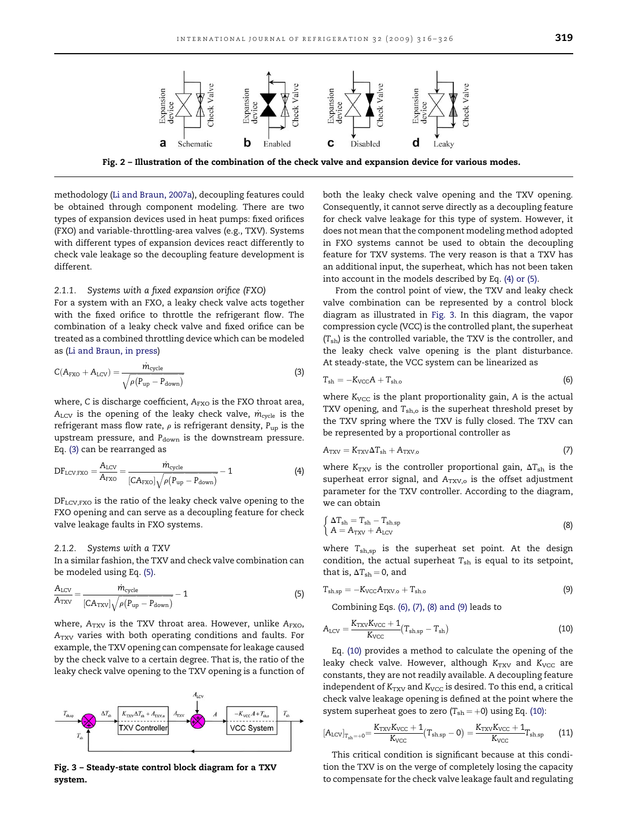<span id="page-3-0"></span>

Fig. 2 – Illustration of the combination of the check valve and expansion device for various modes.

methodology ([Li and Braun, 2007a\)](#page-10-0), decoupling features could be obtained through component modeling. There are two types of expansion devices used in heat pumps: fixed orifices (FXO) and variable-throttling-area valves (e.g., TXV). Systems with different types of expansion devices react differently to check vale leakage so the decoupling feature development is different.

#### 2.1.1. Systems with a fixed expansion orifice (FXO)

For a system with an FXO, a leaky check valve acts together with the fixed orifice to throttle the refrigerant flow. The combination of a leaky check valve and fixed orifice can be treated as a combined throttling device which can be modeled as [\(Li and Braun, in press\)](#page-10-0)

$$
C(A_{\text{FXO}} + A_{\text{LCV}}) = \frac{\dot{m}_{\text{cycle}}}{\sqrt{\rho(P_{\text{up}} - P_{\text{down}})}}
$$
(3)

where, C is discharge coefficient,  $A_{FXO}$  is the FXO throat area,  $A_{\text{LCV}}$  is the opening of the leaky check valve,  $\dot{m}_{\text{cycle}}$  is the refrigerant mass flow rate,  $\rho$  is refrigerant density,  $P_{up}$  is the upstream pressure, and  $P_{\text{down}}$  is the downstream pressure. Eq. (3) can be rearranged as

$$
DF_{LCV,FXO} = \frac{A_{LCV}}{A_{FXO}} = \frac{\dot{m}_{cycle}}{[CA_{FXO}] \sqrt{\rho (P_{up} - P_{down})}} - 1
$$
 (4)

 $DF_{LCV,FXO}$  is the ratio of the leaky check valve opening to the FXO opening and can serve as a decoupling feature for check valve leakage faults in FXO systems.

#### 2.1.2. Systems with a TXV

In a similar fashion, the TXV and check valve combination can be modeled using Eq. (5).

$$
\frac{A_{\text{LCV}}}{A_{\text{TXV}}} = \frac{\dot{m}_{\text{cycle}}}{[CA_{\text{TXV}}] \sqrt{\rho (P_{\text{up}} - P_{\text{down}})}} - 1
$$
\n(5)

where,  $A_{\text{TXV}}$  is the TXV throat area. However, unlike  $A_{\text{FXO}}$ ,  $A<sub>TXV</sub>$  varies with both operating conditions and faults. For example, the TXV opening can compensate for leakage caused by the check valve to a certain degree. That is, the ratio of the leaky check valve opening to the TXV opening is a function of



Fig. 3 – Steady-state control block diagram for a TXV system.

both the leaky check valve opening and the TXV opening. Consequently, it cannot serve directly as a decoupling feature for check valve leakage for this type of system. However, it does not mean that the component modeling method adopted in FXO systems cannot be used to obtain the decoupling feature for TXV systems. The very reason is that a TXV has an additional input, the superheat, which has not been taken into account in the models described by Eq. (4) or (5).

From the control point of view, the TXV and leaky check valve combination can be represented by a control block diagram as illustrated in Fig. 3. In this diagram, the vapor compression cycle (VCC) is the controlled plant, the superheat  $(T_{sh})$  is the controlled variable, the TXV is the controller, and the leaky check valve opening is the plant disturbance. At steady-state, the VCC system can be linearized as

$$
T_{\rm sh} = -K_{\rm VCC}A + T_{\rm sh,o} \tag{6}
$$

where  $K_{VCC}$  is the plant proportionality gain, A is the actual TXV opening, and  $T_{\rm sh,o}$  is the superheat threshold preset by the TXV spring where the TXV is fully closed. The TXV can be represented by a proportional controller as

$$
A_{\text{TXV}} = K_{\text{TXV}} \Delta T_{\text{sh}} + A_{\text{TXV,o}} \tag{7}
$$

where  $K_{\text{TXV}}$  is the controller proportional gain,  $\Delta T_{\text{sh}}$  is the superheat error signal, and  $A_{\text{TXV},o}$  is the offset adjustment parameter for the TXV controller. According to the diagram, we can obtain

$$
\begin{cases}\n\Delta T_{\rm sh} = T_{\rm sh} - T_{\rm sh,sp} \\
A = A_{\rm TXY} + A_{\rm LCV}\n\end{cases}
$$
\n(8)

where  $T_{\rm sh,sp}$  is the superheat set point. At the design condition, the actual superheat  $T_{sh}$  is equal to its setpoint, that is,  $\Delta T_{\rm sh} = 0$ , and

$$
T_{\rm sh,sp} = -K_{\rm VCC}A_{\rm TXV,o} + T_{\rm sh,o} \tag{9}
$$

Combining Eqs. (6), (7), (8) and (9) leads to

$$
A_{\text{LCV}} = \frac{K_{\text{TXV}}K_{\text{VCC}} + 1}{K_{\text{VCC}}}(T_{\text{sh,sp}} - T_{\text{sh}})
$$
\n(10)

Eq. (10) provides a method to calculate the opening of the leaky check valve. However, although  $K_{\text{TXV}}$  and  $K_{\text{VCC}}$  are constants, they are not readily available. A decoupling feature independent of  $K_{\text{TXV}}$  and  $K_{\text{VCC}}$  is desired. To this end, a critical check valve leakage opening is defined at the point where the system superheat goes to zero  $(T_{sh} = +0)$  using Eq. (10):

$$
\left[A_{LCV}\right]_{T_{sh}=+0} = \frac{K_{TXV}K_{VCC} + 1}{K_{VCC}} (T_{sh,sp} - 0) = \frac{K_{TXV}K_{VCC} + 1}{K_{VCC}} T_{sh,sp}
$$
(11)

This critical condition is significant because at this condition the TXV is on the verge of completely losing the capacity to compensate for the check valve leakage fault and regulating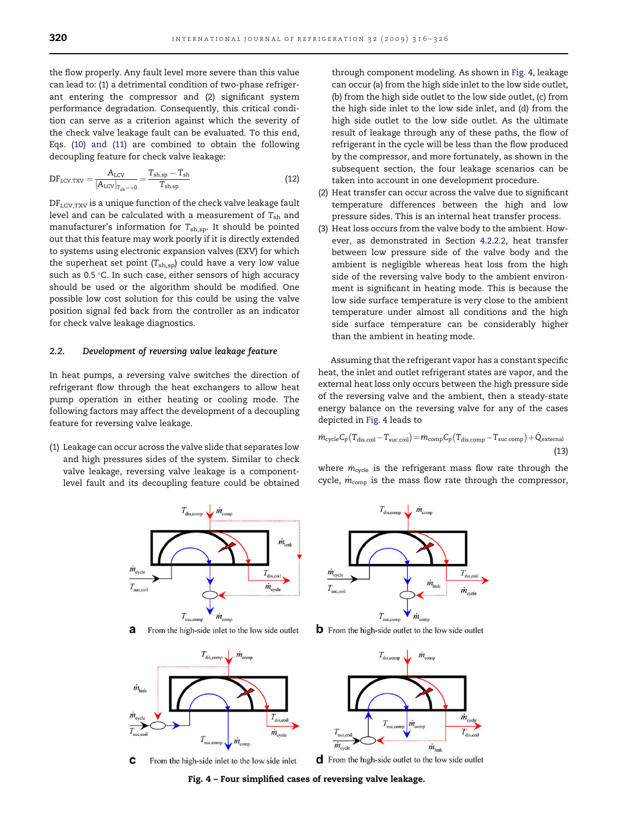<span id="page-4-0"></span>the flow properly. Any fault level more severe than this value can lead to: (1) a detrimental condition of two-phase refrigerant entering the compressor and (2) significant system performance degradation. Consequently, this critical condition can serve as a criterion against which the severity of the check valve leakage fault can be evaluated. To this end, Eqs. [\(10\) and \(11\)](#page-3-0) are combined to obtain the following decoupling feature for check valve leakage:

$$
DF_{LCV,TXV} = \frac{A_{LCV}}{[A_{LCV}]_{T_{sh}=+0}} = \frac{T_{sh,sp} - T_{sh}}{T_{sh,sp}}
$$
(12)

DFLCV, TXV is a unique function of the check valve leakage fault level and can be calculated with a measurement of  $T_{sh}$  and manufacturer's information for  $T_{\text{sh,sp}}$ . It should be pointed out that this feature may work poorly if it is directly extended to systems using electronic expansion valves (EXV) for which the superheat set point  $(T_{\text{sh,sp}})$  could have a very low value such as 0.5 °C. In such case, either sensors of high accuracy should be used or the algorithm should be modified. One possible low cost solution for this could be using the valve position signal fed back from the controller as an indicator for check valve leakage diagnostics.

#### 2.2. Development of reversing valve leakage feature

In heat pumps, a reversing valve switches the direction of refrigerant flow through the heat exchangers to allow heat pump operation in either heating or cooling mode. The following factors may affect the development of a decoupling feature for reversing valve leakage.

(1) Leakage can occur across the valve slide that separates low and high pressures sides of the system. Similar to check valve leakage, reversing valve leakage is a componentlevel fault and its decoupling feature could be obtained



a From the high-side inlet to the low side outlet



C From the high-side inlet to the low side inlet through component modeling. As shown in Fig. 4, leakage can occur (a) from the high side inlet to the low side outlet, (b) from the high side outlet to the low side outlet, (c) from the high side inlet to the low side inlet, and (d) from the high side outlet to the low side outlet. As the ultimate result of leakage through any of these paths, the flow of refrigerant in the cycle will be less than the flow produced by the compressor, and more fortunately, as shown in the subsequent section, the four leakage scenarios can be taken into account in one development procedure.

- (2) Heat transfer can occur across the valve due to significant temperature differences between the high and low pressure sides. This is an internal heat transfer process.
- (3) Heat loss occurs from the valve body to the ambient. However, as demonstrated in Section [4.2.2.2,](#page-8-0) heat transfer between low pressure side of the valve body and the ambient is negligible whereas heat loss from the high side of the reversing valve body to the ambient environment is significant in heating mode. This is because the low side surface temperature is very close to the ambient temperature under almost all conditions and the high side surface temperature can be considerably higher than the ambient in heating mode.

Assuming that the refrigerant vapor has a constant specific heat, the inlet and outlet refrigerant states are vapor, and the external heat loss only occurs between the high pressure side of the reversing valve and the ambient, then a steady-state energy balance on the reversing valve for any of the cases depicted in Fig. 4 leads to

$$
\dot{m}_{\text{cycle}}C_{p}\left(T_{\text{dis,coil}}-T_{\text{succ,coil}}\right) = \dot{m}_{\text{comp}}C_{p}\left(T_{\text{dis,comp}}-T_{\text{succ,comp}}\right) + \dot{Q}_{\text{external}}\tag{13}
$$

where  $\dot{m}_{\text{cycle}}$  is the refrigerant mass flow rate through the cycle,  $\dot{m}_{\rm comp}$  is the mass flow rate through the compressor,



**b** From the high-side outlet to the low side outlet



**d** From the high-side outlet to the low side outlet

Fig. 4 – Four simplified cases of reversing valve leakage.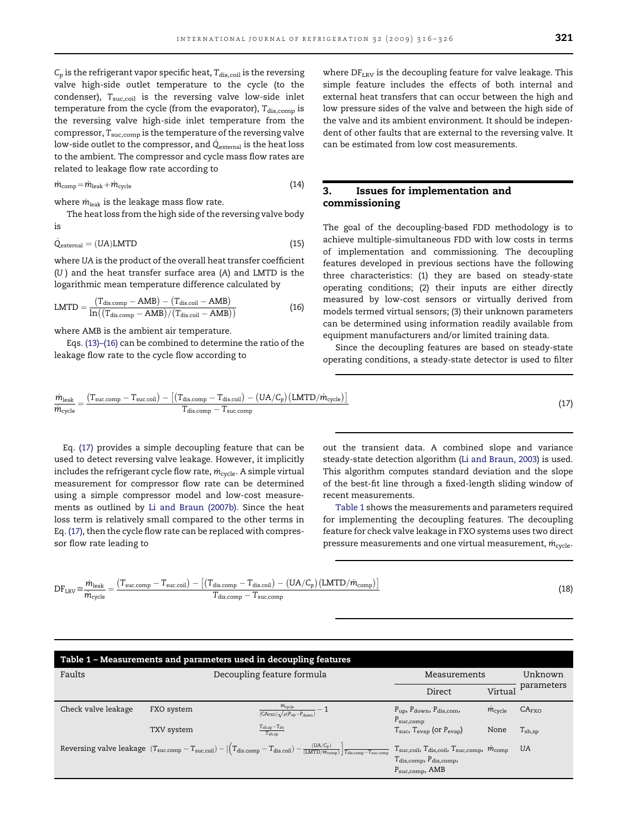$C_p$  is the refrigerant vapor specific heat,  $T_{dis. coil}$  is the reversing valve high-side outlet temperature to the cycle (to the condenser),  $T_{\text{succ,coil}}$  is the reversing valve low-side inlet temperature from the cycle (from the evaporator),  $T_{dis,comp}$  is the reversing valve high-side inlet temperature from the compressor,  $T_{\rm suc,comp}$  is the temperature of the reversing valve low-side outlet to the compressor, and  $\dot{Q}_{\rm external}$  is the heat loss to the ambient. The compressor and cycle mass flow rates are related to leakage flow rate according to

$$
\dot{m}_{\rm comp} \!=\! \dot{m}_{\rm leak} \!+\! \dot{m}_{\rm cycle} \qquad \qquad (14)
$$

where  $\dot{m}_{\text{leak}}$  is the leakage mass flow rate.

The heat loss from the high side of the reversing valve body is

$$
\dot{Q}_{\text{external}} = (UA)\text{LMTD} \tag{15}
$$

where UA is the product of the overall heat transfer coefficient (U ) and the heat transfer surface area (A) and LMTD is the logarithmic mean temperature difference calculated by

$$
LMTD = \frac{(T_{dis,comp} - AMB) - (T_{dis, coil} - AMB)}{\ln((T_{dis,comp} - AMB)/(T_{dis, coil} - AMB))}
$$
(16)

where AMB is the ambient air temperature.

Eqs. [\(13\)–\(16\)](#page-4-0) can be combined to determine the ratio of the leakage flow rate to the cycle flow according to

where  $DF_{LRV}$  is the decoupling feature for valve leakage. This simple feature includes the effects of both internal and external heat transfers that can occur between the high and low pressure sides of the valve and between the high side of the valve and its ambient environment. It should be independent of other faults that are external to the reversing valve. It can be estimated from low cost measurements.

## 3. Issues for implementation and commissioning

The goal of the decoupling-based FDD methodology is to achieve multiple-simultaneous FDD with low costs in terms of implementation and commissioning. The decoupling features developed in previous sections have the following three characteristics: (1) they are based on steady-state operating conditions; (2) their inputs are either directly measured by low-cost sensors or virtually derived from models termed virtual sensors; (3) their unknown parameters can be determined using information readily available from equipment manufacturers and/or limited training data.

Since the decoupling features are based on steady-state operating conditions, a steady-state detector is used to filter

$$
\frac{\dot{m}_{\text{leak}}}{\dot{m}_{\text{cycle}}}=\frac{\left(T_{\text{succ,comp}}-T_{\text{succ,coil}}\right)-\left[\left(T_{\text{dis,comp}}-T_{\text{dis,coil}}\right)-\left(UA/C_{p}\right)\left(LMTD/\dot{m}_{\text{cycle}}\right)\right]}{T_{\text{dis,comp}}-T_{\text{succ,comp}}}
$$

Eq. (17) provides a simple decoupling feature that can be used to detect reversing valve leakage. However, it implicitly includes the refrigerant cycle flow rate,  $\dot{m}_{\text{cycle}}$ . A simple virtual measurement for compressor flow rate can be determined using a simple compressor model and low-cost measurements as outlined by [Li and Braun \(2007b\)](#page-10-0). Since the heat loss term is relatively small compared to the other terms in Eq. (17), then the cycle flow rate can be replaced with compressor flow rate leading to

out the transient data. A combined slope and variance steady-state detection algorithm [\(Li and Braun, 2003](#page-10-0)) is used. This algorithm computes standard deviation and the slope of the best-fit line through a fixed-length sliding window of recent measurements.

Table 1 shows the measurements and parameters required for implementing the decoupling features. The decoupling feature for check valve leakage in FXO systems uses two direct pressure measurements and one virtual measurement,  $\dot{m}_{\text{cycle}}$ .

$$
DF_{LRV} = \frac{\dot{m}_{\text{leak}}}{\dot{m}_{\text{cycle}}} = \frac{(T_{\text{suc,comp}} - T_{\text{suc,coil}}) - \left[ (T_{\text{dis,comp}} - T_{\text{dis,coin}}) - (UA/C_p) (LMTD/\dot{m}_{\text{comp}}) \right]}{T_{\text{dis,comp}} - T_{\text{suc,comp}}}
$$
(18)

| Table 1 – Measurements and parameters used in decoupling features |                            |                                                                                                                                                                                                                              |                                                                                                                                                               |                    |                      |  |  |
|-------------------------------------------------------------------|----------------------------|------------------------------------------------------------------------------------------------------------------------------------------------------------------------------------------------------------------------------|---------------------------------------------------------------------------------------------------------------------------------------------------------------|--------------------|----------------------|--|--|
| Faults                                                            | Decoupling feature formula |                                                                                                                                                                                                                              |                                                                                                                                                               | Measurements       |                      |  |  |
|                                                                   |                            |                                                                                                                                                                                                                              | Direct                                                                                                                                                        | Virtual            | parameters           |  |  |
| Check valve leakage                                               | FXO system                 | $[CA_{FXO}] \sqrt{\rho(P_{up} - P_{down})}$                                                                                                                                                                                  | $P_{\rm up}$ , $P_{\rm down}$ , $P_{\rm dis, com}$<br>$P_{\text{suc,comp}}$                                                                                   | $m_{\text{cycle}}$ | $CA_{FXO}$           |  |  |
|                                                                   | TXV system                 | $\frac{T_{\rm sh,sp}-T_{\rm sh}}{T_{\rm sh,sp}}$                                                                                                                                                                             | $T_{\text{suc}}$ , $T_{\text{evap}}$ (or $P_{\text{evap}}$ )                                                                                                  | None               | $T_{\mathrm{sh,sp}}$ |  |  |
|                                                                   |                            | Reversing valve leakage $(T_{\text{suc,comp}} - T_{\text{suc,coil}}) - [\left(T_{\text{dis,comp}} - T_{\text{dis,coil}}\right) - \frac{(UA / C_p)}{(LMTD/m_{\text{comp}})}\Big _{T_{\text{dis,comp}} - T_{\text{suc,comp}}}$ | $T_{\text{suc,coil}}$ , $T_{\text{dis,coil}}$ , $T_{\text{suc,comp}}$ , $m_{\text{comp}}$<br>$T_{dis, comp}$ , $P_{dis, comp}$<br>$P_{\text{suc,comp}}$ , AMB |                    | UA                   |  |  |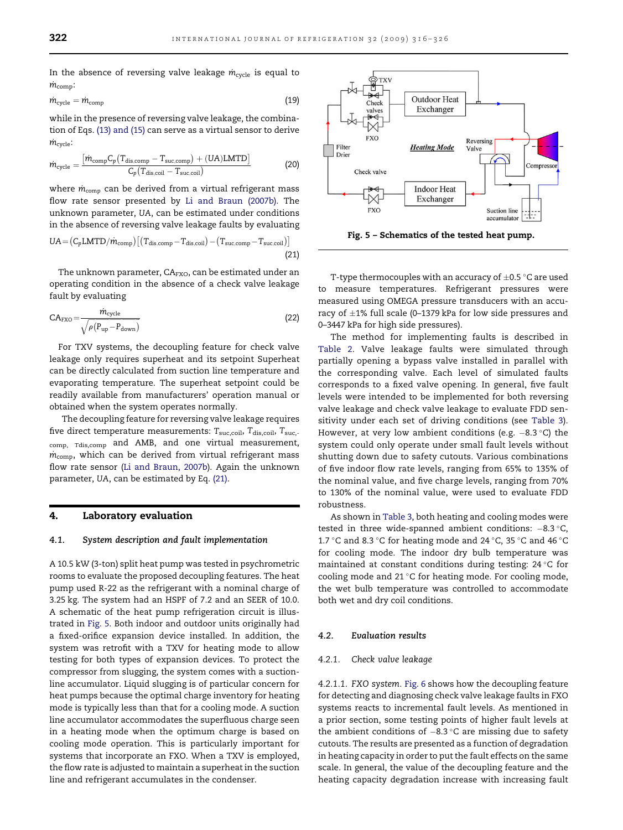In the absence of reversing valve leakage  $\dot{m}_{\text{cycle}}$  is equal to  $\dot{m}_{\rm comp}$ :

$$
\dot{m}_{\text{cycle}} = \dot{m}_{\text{comp}} \tag{19}
$$

while in the presence of reversing valve leakage, the combination of Eqs. [\(13\) and \(15\)](#page-4-0) can serve as a virtual sensor to derive  $m_{\text{cycle}}$ :

$$
\dot{m}_{\text{cycle}} = \frac{\left[\dot{m}_{\text{comp}}C_{p}(T_{\text{dis,comp}} - T_{\text{suc,comp}}) + (UA)\text{LMTD}\right]}{C_{p}(T_{\text{dis,coil}} - T_{\text{suc,coil}})} \tag{20}
$$

where  $\dot{m}_{\rm comp}$  can be derived from a virtual refrigerant mass flow rate sensor presented by [Li and Braun \(2007b\)](#page-10-0). The unknown parameter, UA, can be estimated under conditions in the absence of reversing valve leakage faults by evaluating

$$
UA = (C_p LMTD/\dot{m}_{comp}) [(T_{dis, comp} - T_{dis, coil}) - (T_{suc, comp} - T_{suc, coil})]
$$
\n(21)

The unknown parameter,  $CA_{FXO}$ , can be estimated under an operating condition in the absence of a check valve leakage fault by evaluating

$$
CA_{FXO} = \frac{\dot{m}_{cycle}}{\sqrt{\rho(P_{up} - P_{down})}}
$$
\n(22)

For TXV systems, the decoupling feature for check valve leakage only requires superheat and its setpoint Superheat can be directly calculated from suction line temperature and evaporating temperature. The superheat setpoint could be readily available from manufacturers' operation manual or obtained when the system operates normally.

The decoupling feature for reversing valve leakage requires five direct temperature measurements:  $T_{\text{succ,coil}}$ ,  $T_{\text{dis,coil}}$ ,  $T_{\text{succ,-}}$ comp, <sup>T</sup>dis,comp and AMB, and one virtual measurement,  $\dot{m}_{\rm comp}$ , which can be derived from virtual refrigerant mass flow rate sensor [\(Li and Braun, 2007b](#page-10-0)). Again the unknown parameter, UA, can be estimated by Eq. (21).

#### 4. Laboratory evaluation

#### 4.1. System description and fault implementation

A 10.5 kW (3-ton) split heat pump was tested in psychrometric rooms to evaluate the proposed decoupling features. The heat pump used R-22 as the refrigerant with a nominal charge of 3.25 kg. The system had an HSPF of 7.2 and an SEER of 10.0. A schematic of the heat pump refrigeration circuit is illustrated in Fig. 5. Both indoor and outdoor units originally had a fixed-orifice expansion device installed. In addition, the system was retrofit with a TXV for heating mode to allow testing for both types of expansion devices. To protect the compressor from slugging, the system comes with a suctionline accumulator. Liquid slugging is of particular concern for heat pumps because the optimal charge inventory for heating mode is typically less than that for a cooling mode. A suction line accumulator accommodates the superfluous charge seen in a heating mode when the optimum charge is based on cooling mode operation. This is particularly important for systems that incorporate an FXO. When a TXV is employed, the flow rate is adjusted to maintain a superheat in the suction line and refrigerant accumulates in the condenser.



T-type thermocouples with an accuracy of  $\pm$ 0.5 °C are used to measure temperatures. Refrigerant pressures were measured using OMEGA pressure transducers with an accuracy of  $\pm 1$ % full scale (0–1379 kPa for low side pressures and 0–3447 kPa for high side pressures).

The method for implementing faults is described in [Table 2.](#page-7-0) Valve leakage faults were simulated through partially opening a bypass valve installed in parallel with the corresponding valve. Each level of simulated faults corresponds to a fixed valve opening. In general, five fault levels were intended to be implemented for both reversing valve leakage and check valve leakage to evaluate FDD sensitivity under each set of driving conditions (see [Table 3\)](#page-7-0). However, at very low ambient conditions (e.g.  $-8.3 \degree C$ ) the system could only operate under small fault levels without shutting down due to safety cutouts. Various combinations of five indoor flow rate levels, ranging from 65% to 135% of the nominal value, and five charge levels, ranging from 70% to 130% of the nominal value, were used to evaluate FDD robustness.

As shown in [Table 3,](#page-7-0) both heating and cooling modes were tested in three wide-spanned ambient conditions:  $-8.3$  °C, 1.7 °C and 8.3 °C for heating mode and 24 °C, 35 °C and 46 °C for cooling mode. The indoor dry bulb temperature was maintained at constant conditions during testing: 24 °C for cooling mode and 21 $\,^{\circ}$ C for heating mode. For cooling mode, the wet bulb temperature was controlled to accommodate both wet and dry coil conditions.

#### 4.2. Evaluation results

#### 4.2.1. Check valve leakage

4.2.1.1. FXO system. [Fig. 6](#page-7-0) shows how the decoupling feature for detecting and diagnosing check valve leakage faults in FXO systems reacts to incremental fault levels. As mentioned in a prior section, some testing points of higher fault levels at the ambient conditions of  $-8.3$  °C are missing due to safety cutouts. The results are presented as a function of degradation in heating capacity in order to put the fault effects on the same scale. In general, the value of the decoupling feature and the heating capacity degradation increase with increasing fault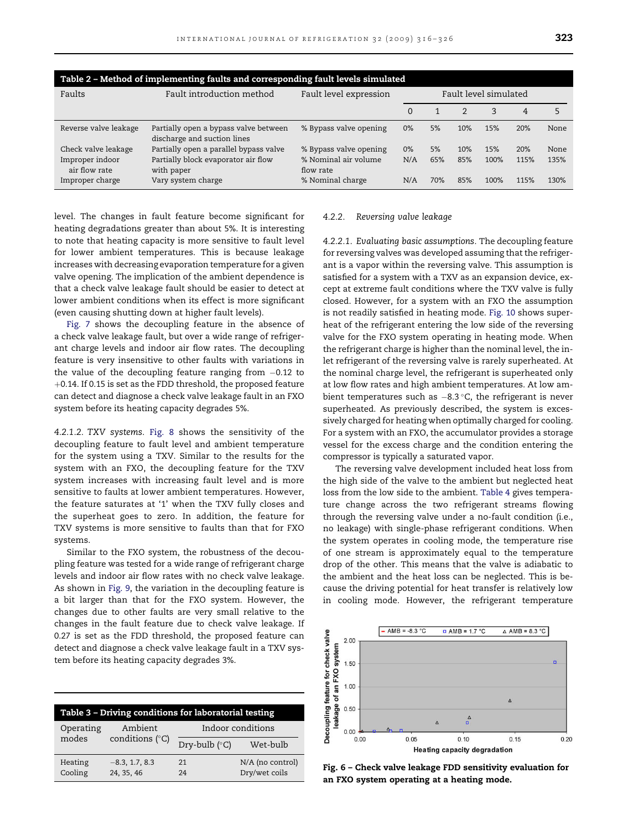<span id="page-7-0"></span>

| Table 2 - Method of implementing faults and corresponding fault levels simulated |                                                                      |                                   |                       |     |               |      |      |      |
|----------------------------------------------------------------------------------|----------------------------------------------------------------------|-----------------------------------|-----------------------|-----|---------------|------|------|------|
| Faults                                                                           | Fault introduction method                                            | Fault level expression            | Fault level simulated |     |               |      |      |      |
|                                                                                  |                                                                      |                                   |                       |     | $\mathcal{P}$ | 3    | 4    |      |
| Reverse valve leakage                                                            | Partially open a bypass valve between<br>discharge and suction lines | % Bypass valve opening            | 0%                    | 5%  | 10%           | 15%  | 20%  | None |
| Check valve leakage                                                              | Partially open a parallel bypass valve                               | % Bypass valve opening            | $0\%$                 | 5%  | 10%           | 15%  | 20%  | None |
| Improper indoor<br>air flow rate                                                 | Partially block evaporator air flow<br>with paper                    | % Nominal air volume<br>flow rate | N/A                   | 65% | 85%           | 100% | 115% | 135% |
| Improper charge                                                                  | Vary system charge                                                   | % Nominal charge                  | N/A                   | 70% | 85%           | 100% | 115% | 130% |

level. The changes in fault feature become significant for heating degradations greater than about 5%. It is interesting to note that heating capacity is more sensitive to fault level for lower ambient temperatures. This is because leakage increases with decreasing evaporation temperature for a given valve opening. The implication of the ambient dependence is that a check valve leakage fault should be easier to detect at lower ambient conditions when its effect is more significant (even causing shutting down at higher fault levels).

[Fig. 7](#page-8-0) shows the decoupling feature in the absence of a check valve leakage fault, but over a wide range of refrigerant charge levels and indoor air flow rates. The decoupling feature is very insensitive to other faults with variations in the value of the decoupling feature ranging from  $-0.12$  to  $+0.14$ . If 0.15 is set as the FDD threshold, the proposed feature can detect and diagnose a check valve leakage fault in an FXO system before its heating capacity degrades 5%.

4.2.1.2. TXV systems. [Fig. 8](#page-8-0) shows the sensitivity of the decoupling feature to fault level and ambient temperature for the system using a TXV. Similar to the results for the system with an FXO, the decoupling feature for the TXV system increases with increasing fault level and is more sensitive to faults at lower ambient temperatures. However, the feature saturates at '1' when the TXV fully closes and the superheat goes to zero. In addition, the feature for TXV systems is more sensitive to faults than that for FXO systems.

Similar to the FXO system, the robustness of the decoupling feature was tested for a wide range of refrigerant charge levels and indoor air flow rates with no check valve leakage. As shown in [Fig. 9](#page-8-0), the variation in the decoupling feature is a bit larger than that for the FXO system. However, the changes due to other faults are very small relative to the changes in the fault feature due to check valve leakage. If 0.27 is set as the FDD threshold, the proposed feature can detect and diagnose a check valve leakage fault in a TXV system before its heating capacity degrades 3%.

| Table 3 - Driving conditions for laboratorial testing |                                |                       |                                   |  |  |  |  |
|-------------------------------------------------------|--------------------------------|-----------------------|-----------------------------------|--|--|--|--|
| Operating                                             | Ambient<br>conditions $(°C)$   | Indoor conditions     |                                   |  |  |  |  |
| modes                                                 |                                | Dry-bulb $(^\circ C)$ | Wet-bulb                          |  |  |  |  |
| Heating<br>Cooling                                    | $-8.3, 1.7, 8.3$<br>24, 35, 46 | 21<br>24              | N/A (no control)<br>Dry/wet coils |  |  |  |  |

#### 4.2.2. Reversing valve leakage

4.2.2.1. Evaluating basic assumptions. The decoupling feature for reversing valves was developed assuming that the refrigerant is a vapor within the reversing valve. This assumption is satisfied for a system with a TXV as an expansion device, except at extreme fault conditions where the TXV valve is fully closed. However, for a system with an FXO the assumption is not readily satisfied in heating mode. [Fig. 10](#page-8-0) shows superheat of the refrigerant entering the low side of the reversing valve for the FXO system operating in heating mode. When the refrigerant charge is higher than the nominal level, the inlet refrigerant of the reversing valve is rarely superheated. At the nominal charge level, the refrigerant is superheated only at low flow rates and high ambient temperatures. At low ambient temperatures such as  $-8.3$  °C, the refrigerant is never superheated. As previously described, the system is excessively charged for heating when optimally charged for cooling. For a system with an FXO, the accumulator provides a storage vessel for the excess charge and the condition entering the compressor is typically a saturated vapor.

The reversing valve development included heat loss from the high side of the valve to the ambient but neglected heat loss from the low side to the ambient. [Table 4](#page-9-0) gives temperature change across the two refrigerant streams flowing through the reversing valve under a no-fault condition (i.e., no leakage) with single-phase refrigerant conditions. When the system operates in cooling mode, the temperature rise of one stream is approximately equal to the temperature drop of the other. This means that the valve is adiabatic to the ambient and the heat loss can be neglected. This is because the driving potential for heat transfer is relatively low in cooling mode. However, the refrigerant temperature



Fig. 6 - Check valve leakage FDD sensitivity evaluation for an FXO system operating at a heating mode.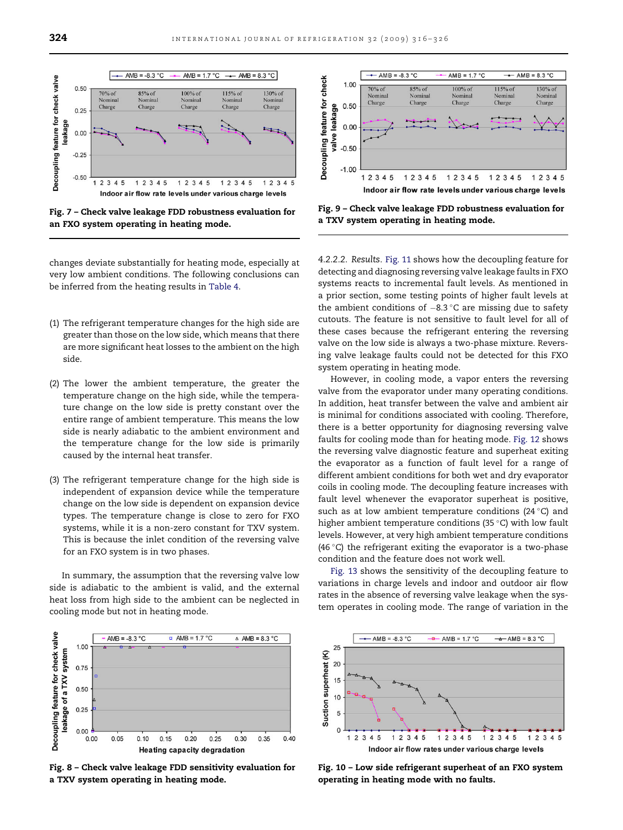<span id="page-8-0"></span>

Fig. 7 – Check valve leakage FDD robustness evaluation for an FXO system operating in heating mode.

changes deviate substantially for heating mode, especially at very low ambient conditions. The following conclusions can be inferred from the heating results in [Table 4](#page-9-0).

- (1) The refrigerant temperature changes for the high side are greater than those on the low side, which means that there are more significant heat losses to the ambient on the high side.
- (2) The lower the ambient temperature, the greater the temperature change on the high side, while the temperature change on the low side is pretty constant over the entire range of ambient temperature. This means the low side is nearly adiabatic to the ambient environment and the temperature change for the low side is primarily caused by the internal heat transfer.
- (3) The refrigerant temperature change for the high side is independent of expansion device while the temperature change on the low side is dependent on expansion device types. The temperature change is close to zero for FXO systems, while it is a non-zero constant for TXV system. This is because the inlet condition of the reversing valve for an FXO system is in two phases.

In summary, the assumption that the reversing valve low side is adiabatic to the ambient is valid, and the external heat loss from high side to the ambient can be neglected in cooling mode but not in heating mode.



Fig. 8 – Check valve leakage FDD sensitivity evaluation for a TXV system operating in heating mode.



Fig. 9 – Check valve leakage FDD robustness evaluation for a TXV system operating in heating mode.

4.2.2.2. Results. [Fig. 11](#page-9-0) shows how the decoupling feature for detecting and diagnosing reversing valve leakage faults in FXO systems reacts to incremental fault levels. As mentioned in a prior section, some testing points of higher fault levels at the ambient conditions of  $-8.3$  °C are missing due to safety cutouts. The feature is not sensitive to fault level for all of these cases because the refrigerant entering the reversing valve on the low side is always a two-phase mixture. Reversing valve leakage faults could not be detected for this FXO system operating in heating mode.

However, in cooling mode, a vapor enters the reversing valve from the evaporator under many operating conditions. In addition, heat transfer between the valve and ambient air is minimal for conditions associated with cooling. Therefore, there is a better opportunity for diagnosing reversing valve faults for cooling mode than for heating mode. [Fig. 12](#page-9-0) shows the reversing valve diagnostic feature and superheat exiting the evaporator as a function of fault level for a range of different ambient conditions for both wet and dry evaporator coils in cooling mode. The decoupling feature increases with fault level whenever the evaporator superheat is positive, such as at low ambient temperature conditions (24 $\degree$ C) and higher ambient temperature conditions (35 $\degree$ C) with low fault levels. However, at very high ambient temperature conditions (46 $\degree$ C) the refrigerant exiting the evaporator is a two-phase condition and the feature does not work well.

[Fig. 13](#page-9-0) shows the sensitivity of the decoupling feature to variations in charge levels and indoor and outdoor air flow rates in the absence of reversing valve leakage when the system operates in cooling mode. The range of variation in the



Fig. 10 – Low side refrigerant superheat of an FXO system operating in heating mode with no faults.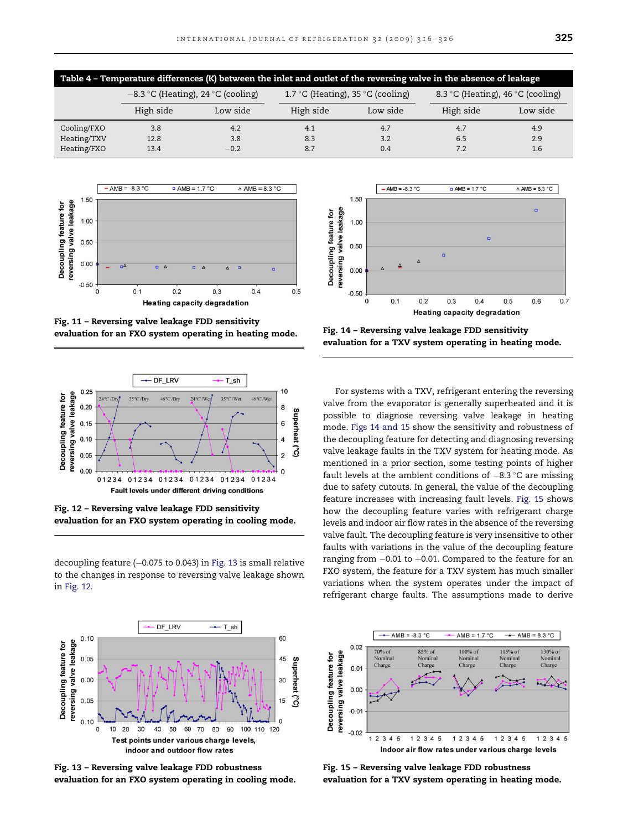<span id="page-9-0"></span>

| Table 4 – Temperature differences (K) between the inlet and outlet of the reversing valve in the absence of leakage |                                      |          |                                   |          |                                   |          |  |
|---------------------------------------------------------------------------------------------------------------------|--------------------------------------|----------|-----------------------------------|----------|-----------------------------------|----------|--|
|                                                                                                                     | $-8.3$ °C (Heating), 24 °C (cooling) |          | 1.7 °C (Heating), 35 °C (cooling) |          | 8.3 °C (Heating), 46 °C (cooling) |          |  |
|                                                                                                                     | High side                            | Low side | High side                         | Low side | High side                         | Low side |  |
| Cooling/FXO                                                                                                         | 3.8                                  | 4.2      | 4.1                               | 4.7      | 4.7                               | 4.9      |  |
| Heating/TXV                                                                                                         | 12.8                                 | 3.8      | 8.3                               | 3.2      | 6.5                               | 2.9      |  |
| Heating/FXO                                                                                                         | 13.4                                 | $-0.2$   | 8.7                               | 0.4      | 7.2                               | 1.6      |  |



Fig. 11 – Reversing valve leakage FDD sensitivity evaluation for an FXO system operating in heating mode.



Fig. 12 – Reversing valve leakage FDD sensitivity evaluation for an FXO system operating in cooling mode.

decoupling feature  $(-0.075$  to 0.043) in Fig. 13 is small relative to the changes in response to reversing valve leakage shown in Fig. 12.



Fig. 13 – Reversing valve leakage FDD robustness evaluation for an FXO system operating in cooling mode.



Fig. 14 – Reversing valve leakage FDD sensitivity evaluation for a TXV system operating in heating mode.

For systems with a TXV, refrigerant entering the reversing valve from the evaporator is generally superheated and it is possible to diagnose reversing valve leakage in heating mode. Figs 14 and 15 show the sensitivity and robustness of the decoupling feature for detecting and diagnosing reversing valve leakage faults in the TXV system for heating mode. As mentioned in a prior section, some testing points of higher fault levels at the ambient conditions of  $-8.3$  °C are missing due to safety cutouts. In general, the value of the decoupling feature increases with increasing fault levels. Fig. 15 shows how the decoupling feature varies with refrigerant charge levels and indoor air flow rates in the absence of the reversing valve fault. The decoupling feature is very insensitive to other faults with variations in the value of the decoupling feature ranging from  $-0.01$  to  $+0.01$ . Compared to the feature for an FXO system, the feature for a TXV system has much smaller variations when the system operates under the impact of refrigerant charge faults. The assumptions made to derive



Fig. 15 – Reversing valve leakage FDD robustness evaluation for a TXV system operating in heating mode.